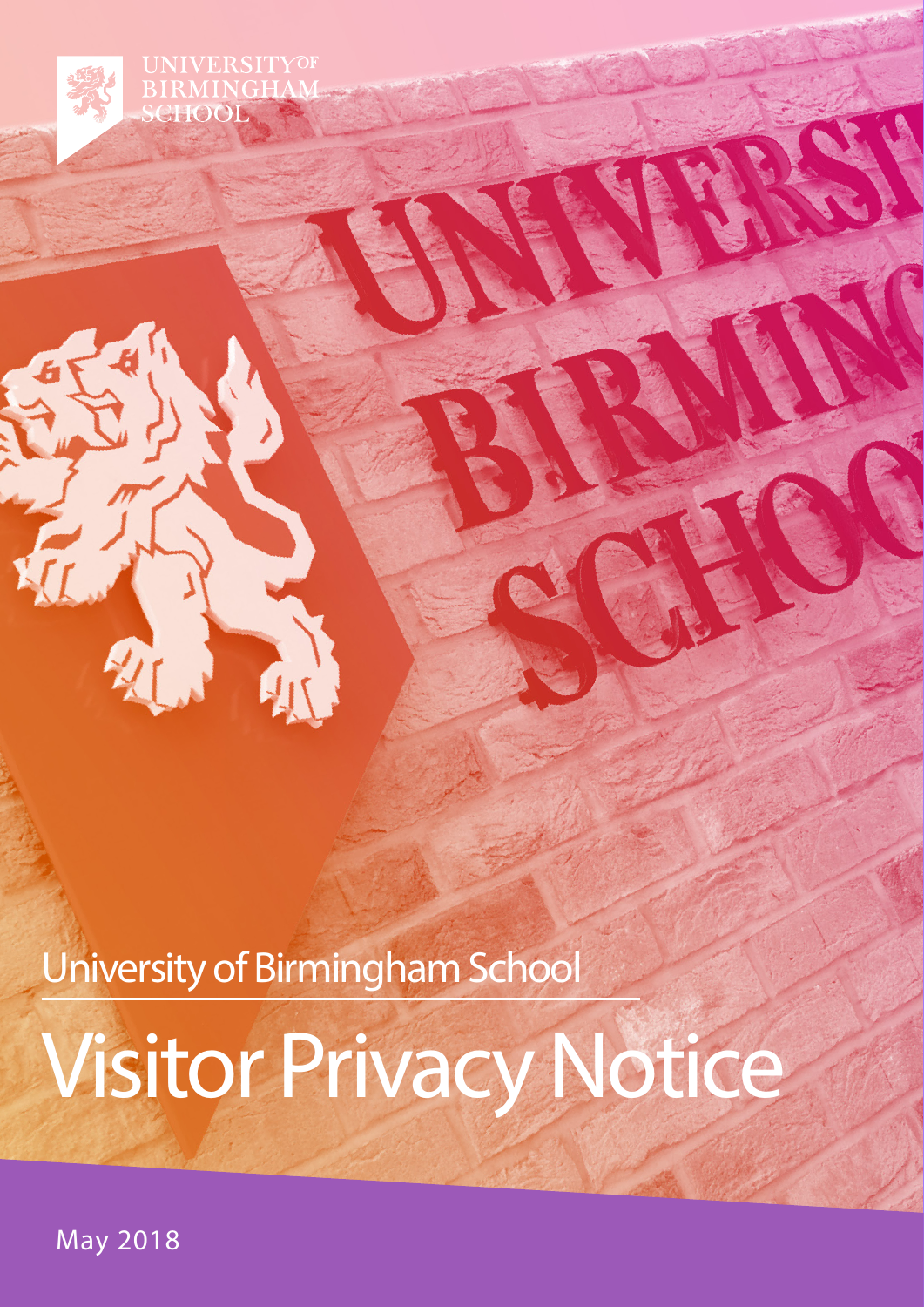**UNIVERSITYOF** RMINGHA SCHOOL

University of Birmingham School

# Visitor Privacy Notice

May 2018

2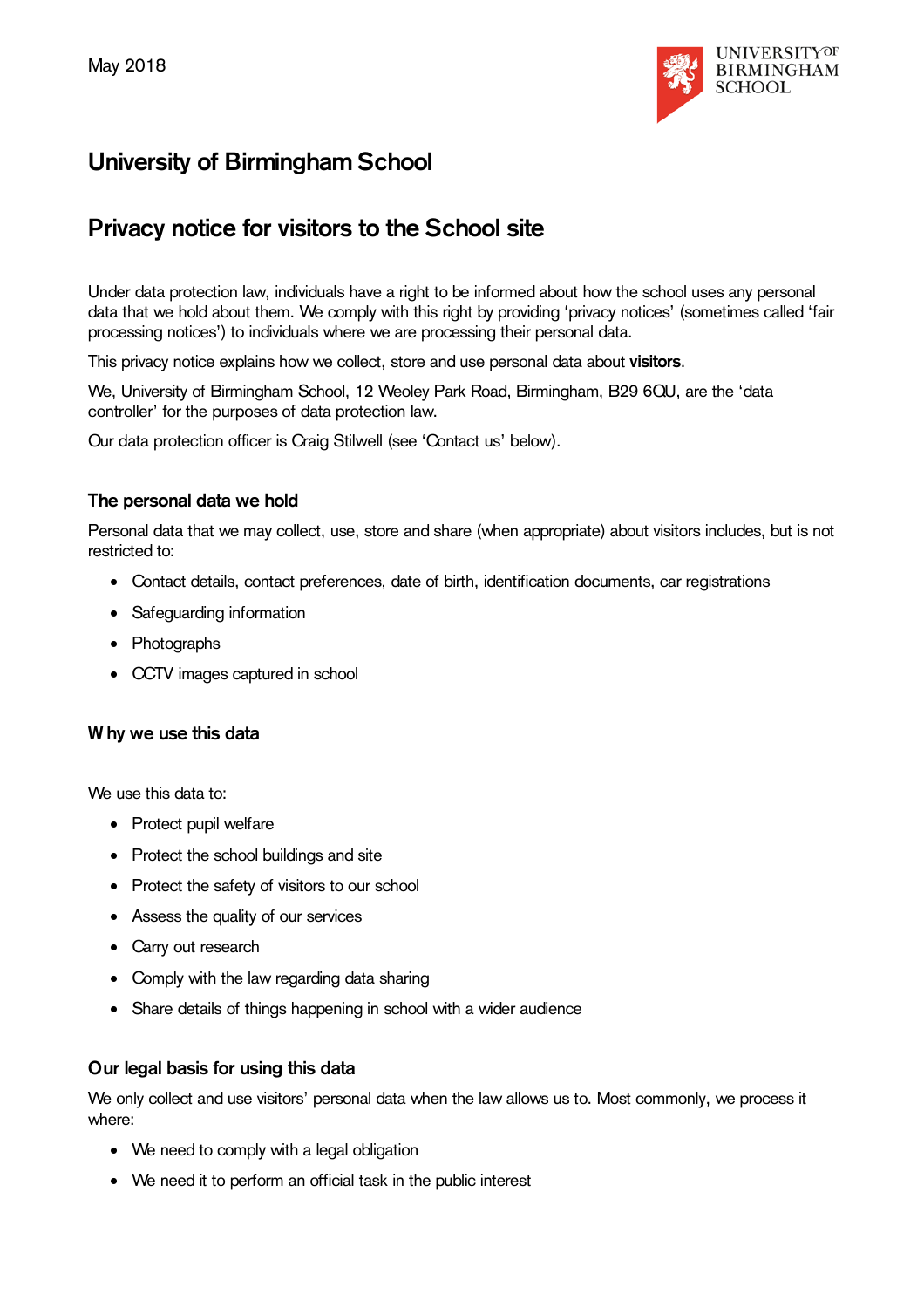

# **University of Birmingham School**

# **Privacy notice for visitors to the School site**

Under data protection law, individuals have a right to be informed about how the school uses any personal data that we hold about them. We comply with this right by providing 'privacy notices' (sometimes called 'fair processing notices') to individuals where we are processing their personal data.

This privacy notice explains how we collect, store and use personal data about **visitors**.

We, University of Birmingham School, 12 Weoley Park Road, Birmingham, B29 6QU, are the 'data controller' for the purposes of data protection law.

Our data protection officer is Craig Stilwell (see 'Contact us' below).

## **The personal data we hold**

Personal data that we may collect, use, store and share (when appropriate) about visitors includes, but is not restricted to:

- Contact details, contact preferences, date of birth, identification documents, car registrations
- Safeguarding information
- Photographs
- CCTV images captured in school

#### **W hy we use this data**

We use this data to:

- Protect pupil welfare
- Protect the school buildings and site
- Protect the safety of visitors to our school
- Assess the quality of our services
- Carry out research
- Comply with the law regarding data sharing
- Share details of things happening in school with a wider audience

#### **Our legal basis for using this data**

We only collect and use visitors' personal data when the law allows us to. Most commonly, we process it where:

- We need to comply with a legal obligation
- We need it to perform an official task in the public interest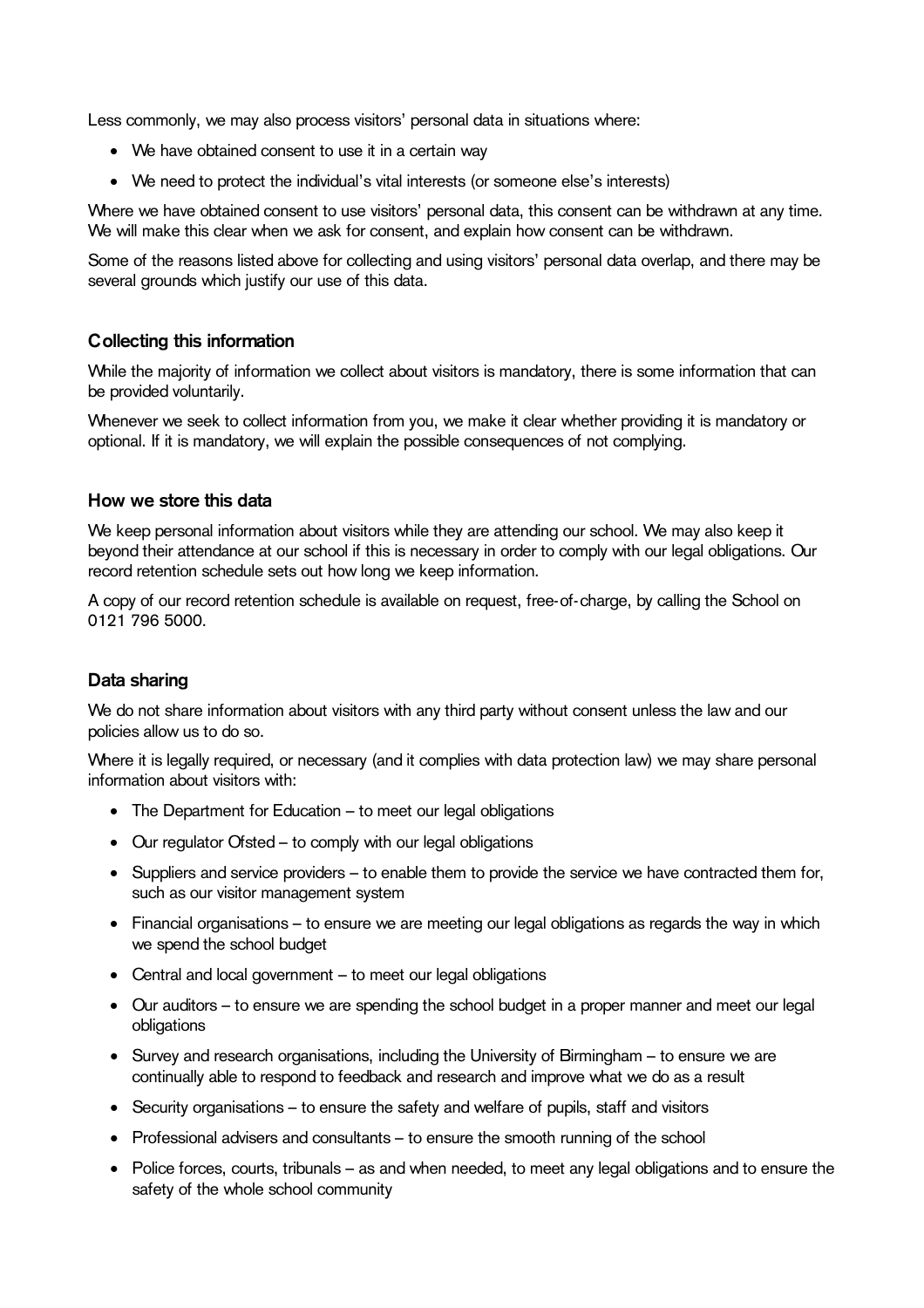Less commonly, we may also process visitors' personal data in situations where:

- We have obtained consent to use it in a certain way
- We need to protect the individual's vital interests (or someone else's interests)

Where we have obtained consent to use visitors' personal data, this consent can be withdrawn at any time. We will make this clear when we ask for consent, and explain how consent can be withdrawn.

Some of the reasons listed above for collecting and using visitors' personal data overlap, and there may be several grounds which justify our use of this data.

## **Collecting this information**

While the majority of information we collect about visitors is mandatory, there is some information that can be provided voluntarily.

Whenever we seek to collect information from you, we make it clear whether providing it is mandatory or optional. If it is mandatory, we will explain the possible consequences of not complying.

#### **How we store this data**

We keep personal information about visitors while they are attending our school. We may also keep it beyond their attendance at our school if this is necessary in order to comply with our legal obligations. Our record retention schedule sets out how long we keep information.

A copy of our record retention schedule is available on request, free-of-charge, by calling the School on 0121 796 5000.

#### **Data sharing**

We do not share information about visitors with any third party without consent unless the law and our policies allow us to do so.

Where it is legally required, or necessary (and it complies with data protection law) we may share personal information about visitors with:

- The Department for Education to meet our legal obligations
- Our regulator Ofsted to comply with our legal obligations
- Suppliers and service providers to enable them to provide the service we have contracted them for, such as our visitor management system
- Financial organisations to ensure we are meeting our legal obligations as regards the way in which we spend the school budget
- Central and local government to meet our legal obligations
- Our auditors to ensure we are spending the school budget in a proper manner and meet our legal obligations
- Survey and research organisations, including the University of Birmingham to ensure we are continually able to respond to feedback and research and improve what we do as a result
- Security organisations to ensure the safety and welfare of pupils, staff and visitors
- Professional advisers and consultants to ensure the smooth running of the school
- Police forces, courts, tribunals as and when needed, to meet any legal obligations and to ensure the safety of the whole school community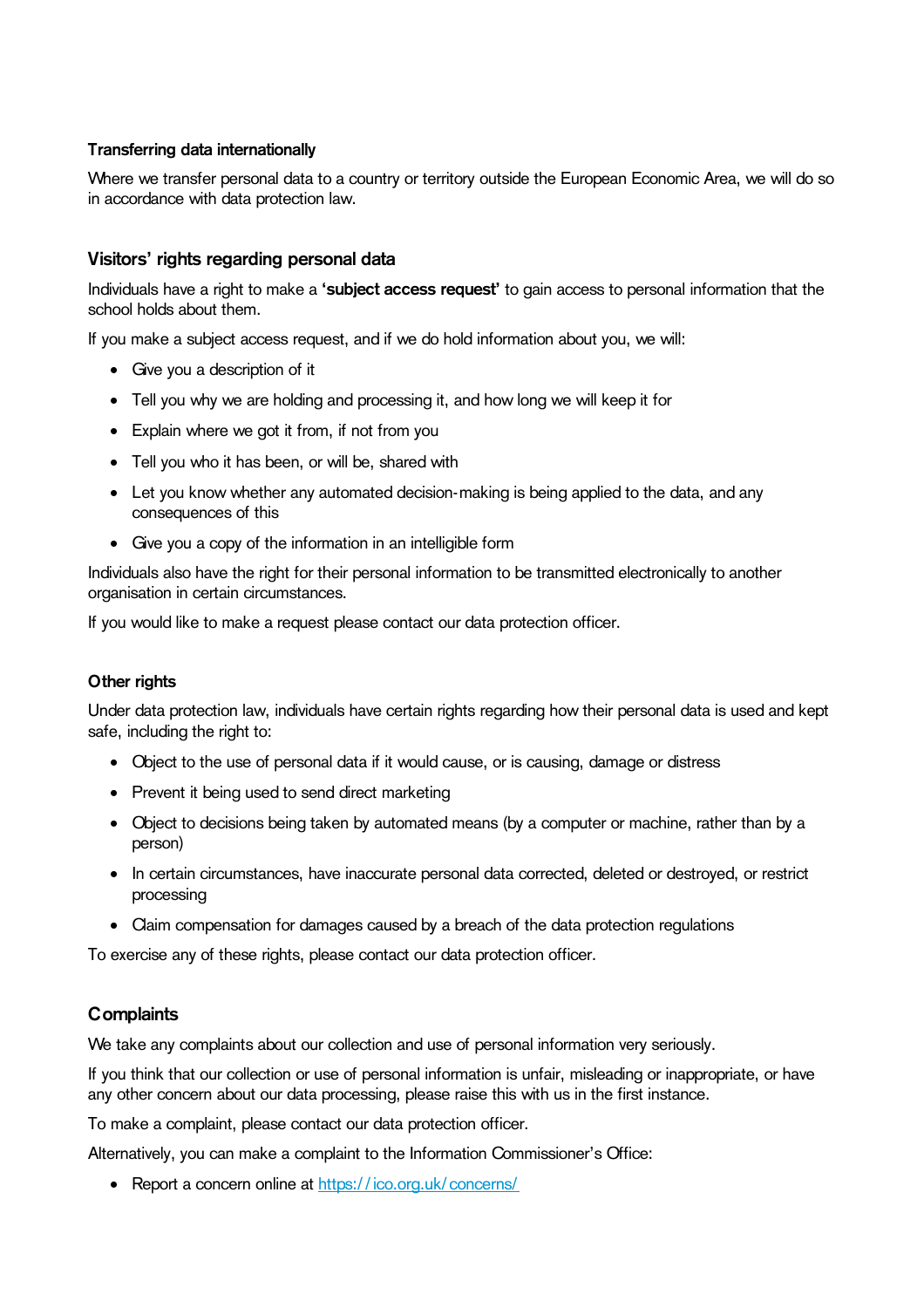#### **Transferring data internationally**

Where we transfer personal data to a country or territory outside the European Economic Area, we will do so in accordance with data protection law.

## **Visitors' rights regarding personal data**

Individuals have a right to make a **'subject access request'** to gain access to personal information that the school holds about them.

If you make a subject access request, and if we do hold information about you, we will:

- Give you a description of it
- Tell you why we are holding and processing it, and how long we will keep it for
- Explain where we got it from, if not from you
- Tell you who it has been, or will be, shared with
- Let you know whether any automated decision-making is being applied to the data, and any consequences of this
- Give you a copy of the information in an intelligible form

Individuals also have the right for their personal information to be transmitted electronically to another organisation in certain circumstances.

If you would like to make a request please contact our data protection officer.

#### **Other rights**

Under data protection law, individuals have certain rights regarding how their personal data is used and kept safe, including the right to:

- Object to the use of personal data if it would cause, or is causing, damage or distress
- Prevent it being used to send direct marketing
- Object to decisions being taken by automated means (by a computer or machine, rather than by a person)
- In certain circumstances, have inaccurate personal data corrected, deleted or destroyed, or restrict processing
- Claim compensation for damages caused by a breach of the data protection regulations

To exercise any of these rights, please contact our data protection officer.

#### **Complaints**

We take any complaints about our collection and use of personal information very seriously.

If you think that our collection or use of personal information is unfair, misleading or inappropriate, or have any other concern about our data processing, please raise this with us in the first instance.

To make a complaint, please contact our data protection officer.

Alternatively, you can make a complaint to the Information Commissioner's Office:

• Report a concern online at<https://ico.org.uk/concerns/>